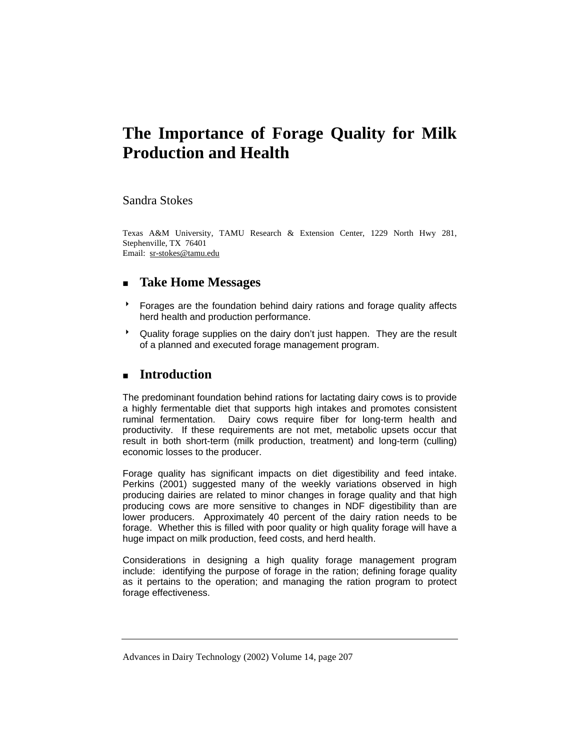# **The Importance of Forage Quality for Milk Production and Health**

## Sandra Stokes

Texas A&M University, TAMU Research & Extension Center, 1229 North Hwy 281, Stephenville, TX 76401 Email: sr-stokes@tamu.edu

# **Take Home Messages**

- **BE Forages are the foundation behind dairy rations and forage quality affects** herd health and production performance.
- \* Quality forage supplies on the dairy don't just happen. They are the result of a planned and executed forage management program.

# **Introduction**

The predominant foundation behind rations for lactating dairy cows is to provide a highly fermentable diet that supports high intakes and promotes consistent ruminal fermentation. Dairy cows require fiber for long-term health and productivity. If these requirements are not met, metabolic upsets occur that result in both short-term (milk production, treatment) and long-term (culling) economic losses to the producer.

Forage quality has significant impacts on diet digestibility and feed intake. Perkins (2001) suggested many of the weekly variations observed in high producing dairies are related to minor changes in forage quality and that high producing cows are more sensitive to changes in NDF digestibility than are lower producers. Approximately 40 percent of the dairy ration needs to be forage. Whether this is filled with poor quality or high quality forage will have a huge impact on milk production, feed costs, and herd health.

Considerations in designing a high quality forage management program include: identifying the purpose of forage in the ration; defining forage quality as it pertains to the operation; and managing the ration program to protect forage effectiveness.

Advances in Dairy Technology (2002) Volume 14, page 207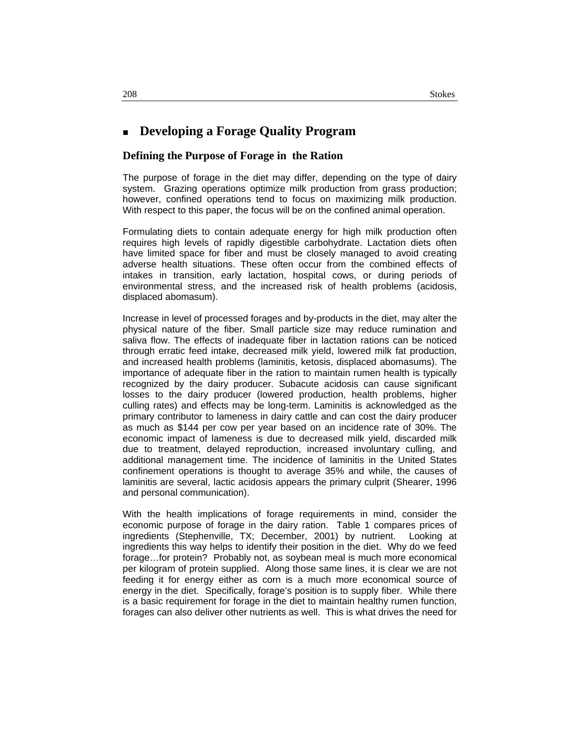# **Developing a Forage Quality Program**

### **Defining the Purpose of Forage in the Ration**

The purpose of forage in the diet may differ, depending on the type of dairy system. Grazing operations optimize milk production from grass production; however, confined operations tend to focus on maximizing milk production. With respect to this paper, the focus will be on the confined animal operation.

Formulating diets to contain adequate energy for high milk production often requires high levels of rapidly digestible carbohydrate. Lactation diets often have limited space for fiber and must be closely managed to avoid creating adverse health situations. These often occur from the combined effects of intakes in transition, early lactation, hospital cows, or during periods of environmental stress, and the increased risk of health problems (acidosis, displaced abomasum).

Increase in level of processed forages and by-products in the diet, may alter the physical nature of the fiber. Small particle size may reduce rumination and saliva flow. The effects of inadequate fiber in lactation rations can be noticed through erratic feed intake, decreased milk yield, lowered milk fat production, and increased health problems (laminitis, ketosis, displaced abomasums). The importance of adequate fiber in the ration to maintain rumen health is typically recognized by the dairy producer. Subacute acidosis can cause significant losses to the dairy producer (lowered production, health problems, higher culling rates) and effects may be long-term. Laminitis is acknowledged as the primary contributor to lameness in dairy cattle and can cost the dairy producer as much as \$144 per cow per year based on an incidence rate of 30%. The economic impact of lameness is due to decreased milk yield, discarded milk due to treatment, delayed reproduction, increased involuntary culling, and additional management time. The incidence of laminitis in the United States confinement operations is thought to average 35% and while, the causes of laminitis are several, lactic acidosis appears the primary culprit (Shearer, 1996 and personal communication).

With the health implications of forage requirements in mind, consider the economic purpose of forage in the dairy ration. Table 1 compares prices of ingredients (Stephenville, TX; December, 2001) by nutrient. Looking at ingredients this way helps to identify their position in the diet. Why do we feed forage…for protein? Probably not, as soybean meal is much more economical per kilogram of protein supplied. Along those same lines, it is clear we are not feeding it for energy either as corn is a much more economical source of energy in the diet. Specifically, forage's position is to supply fiber. While there is a basic requirement for forage in the diet to maintain healthy rumen function, forages can also deliver other nutrients as well. This is what drives the need for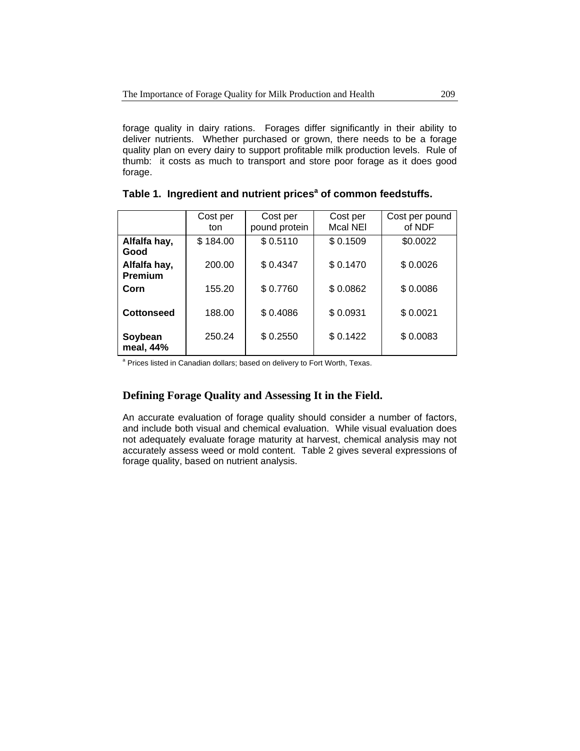forage quality in dairy rations. Forages differ significantly in their ability to deliver nutrients. Whether purchased or grown, there needs to be a forage quality plan on every dairy to support profitable milk production levels. Rule of thumb: it costs as much to transport and store poor forage as it does good forage.

|                                | Cost per<br>ton | Cost per<br>pound protein | Cost per<br>Mcal NEI | Cost per pound<br>of NDF |
|--------------------------------|-----------------|---------------------------|----------------------|--------------------------|
| Alfalfa hay,<br>Good           | \$184.00        | \$0.5110                  | \$0.1509             | \$0.0022                 |
| Alfalfa hay,<br><b>Premium</b> | 200.00          | \$0.4347                  | \$0.1470             | \$0.0026                 |
| Corn                           | 155.20          | \$0.7760                  | \$0.0862             | \$0.0086                 |
| <b>Cottonseed</b>              | 188.00          | \$0.4086                  | \$0.0931             | \$0.0021                 |
| Soybean<br>meal, 44%           | 250.24          | \$0.2550                  | \$0.1422             | \$0.0083                 |

# Table 1. Ingredient and nutrient prices<sup>a</sup> of common feedstuffs.

<sup>a</sup> Prices listed in Canadian dollars; based on delivery to Fort Worth, Texas.

## **Defining Forage Quality and Assessing It in the Field.**

An accurate evaluation of forage quality should consider a number of factors, and include both visual and chemical evaluation. While visual evaluation does not adequately evaluate forage maturity at harvest, chemical analysis may not accurately assess weed or mold content. Table 2 gives several expressions of forage quality, based on nutrient analysis.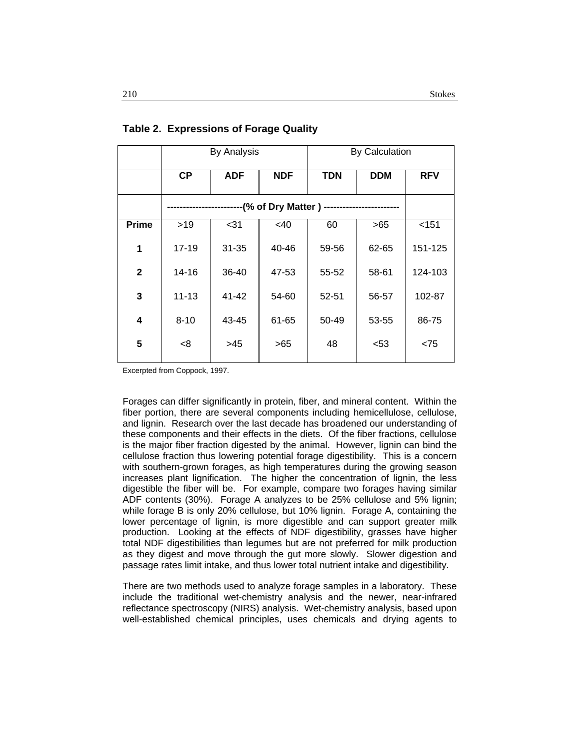|              | <b>By Analysis</b> |            |            | By Calculation |            |            |
|--------------|--------------------|------------|------------|----------------|------------|------------|
|              | <b>CP</b>          | <b>ADF</b> | <b>NDF</b> | <b>TDN</b>     | <b>DDM</b> | <b>RFV</b> |
|              |                    |            |            |                |            |            |
| <b>Prime</b> | >19                | $31$       | <40        | 60             | >65        | $<$ 151    |
| 1            | $17 - 19$          | $31 - 35$  | 40-46      | 59-56          | 62-65      | 151-125    |
| $\mathbf 2$  | 14-16              | 36-40      | 47-53      | 55-52          | 58-61      | 124-103    |
| 3            | $11 - 13$          | $41 - 42$  | 54-60      | 52-51          | 56-57      | 102-87     |
| 4            | $8 - 10$           | 43-45      | 61-65      | 50-49          | 53-55      | 86-75      |
| 5            | -8                 | >45        | >65        | 48             | $53$       | < 75       |

**Table 2. Expressions of Forage Quality** 

Excerpted from Coppock, 1997.

Forages can differ significantly in protein, fiber, and mineral content. Within the fiber portion, there are several components including hemicellulose, cellulose, and lignin. Research over the last decade has broadened our understanding of these components and their effects in the diets. Of the fiber fractions, cellulose is the major fiber fraction digested by the animal. However, lignin can bind the cellulose fraction thus lowering potential forage digestibility. This is a concern with southern-grown forages, as high temperatures during the growing season increases plant lignification. The higher the concentration of lignin, the less digestible the fiber will be. For example, compare two forages having similar ADF contents (30%). Forage A analyzes to be 25% cellulose and 5% lignin; while forage B is only 20% cellulose, but 10% lignin. Forage A, containing the lower percentage of lignin, is more digestible and can support greater milk production. Looking at the effects of NDF digestibility, grasses have higher total NDF digestibilities than legumes but are not preferred for milk production as they digest and move through the gut more slowly. Slower digestion and passage rates limit intake, and thus lower total nutrient intake and digestibility.

There are two methods used to analyze forage samples in a laboratory. These include the traditional wet-chemistry analysis and the newer, near-infrared reflectance spectroscopy (NIRS) analysis. Wet-chemistry analysis, based upon well-established chemical principles, uses chemicals and drying agents to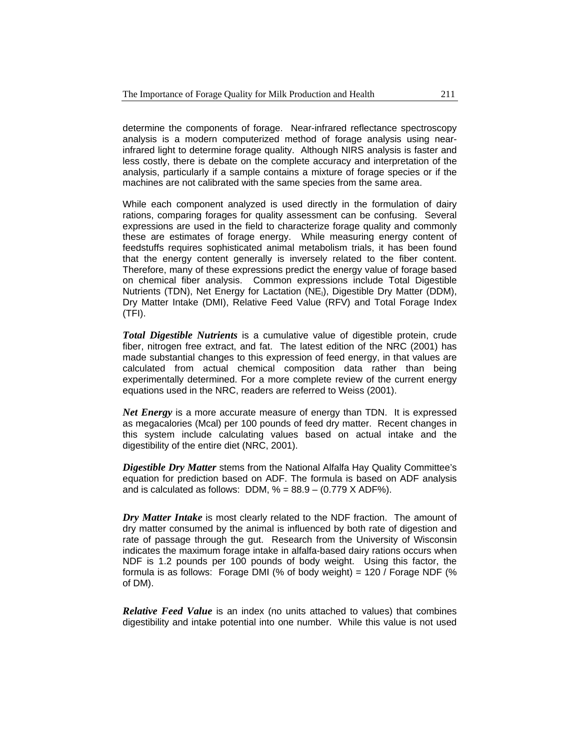determine the components of forage. Near-infrared reflectance spectroscopy analysis is a modern computerized method of forage analysis using nearinfrared light to determine forage quality. Although NIRS analysis is faster and less costly, there is debate on the complete accuracy and interpretation of the analysis, particularly if a sample contains a mixture of forage species or if the machines are not calibrated with the same species from the same area.

While each component analyzed is used directly in the formulation of dairy rations, comparing forages for quality assessment can be confusing. Several expressions are used in the field to characterize forage quality and commonly these are estimates of forage energy. While measuring energy content of feedstuffs requires sophisticated animal metabolism trials, it has been found that the energy content generally is inversely related to the fiber content. Therefore, many of these expressions predict the energy value of forage based on chemical fiber analysis. Common expressions include Total Digestible Nutrients (TDN), Net Energy for Lactation (NE<sub>1</sub>), Digestible Dry Matter (DDM), Dry Matter Intake (DMI), Relative Feed Value (RFV) and Total Forage Index (TFI).

*Total Digestible Nutrients* is a cumulative value of digestible protein, crude fiber, nitrogen free extract, and fat. The latest edition of the NRC (2001) has made substantial changes to this expression of feed energy, in that values are calculated from actual chemical composition data rather than being experimentally determined. For a more complete review of the current energy equations used in the NRC, readers are referred to Weiss (2001).

*Net Energy* is a more accurate measure of energy than TDN. It is expressed as megacalories (Mcal) per 100 pounds of feed dry matter. Recent changes in this system include calculating values based on actual intake and the digestibility of the entire diet (NRC, 2001).

*Digestible Dry Matter* stems from the National Alfalfa Hay Quality Committee's equation for prediction based on ADF. The formula is based on ADF analysis and is calculated as follows: DDM,  $% = 88.9 - (0.779 \text{ X ADF}%).$ 

*Dry Matter Intake* is most clearly related to the NDF fraction. The amount of dry matter consumed by the animal is influenced by both rate of digestion and rate of passage through the gut. Research from the University of Wisconsin indicates the maximum forage intake in alfalfa-based dairy rations occurs when NDF is 1.2 pounds per 100 pounds of body weight. Using this factor, the formula is as follows: Forage DMI (% of body weight) = 120 / Forage NDF (% of DM).

*Relative Feed Value* is an index (no units attached to values) that combines digestibility and intake potential into one number. While this value is not used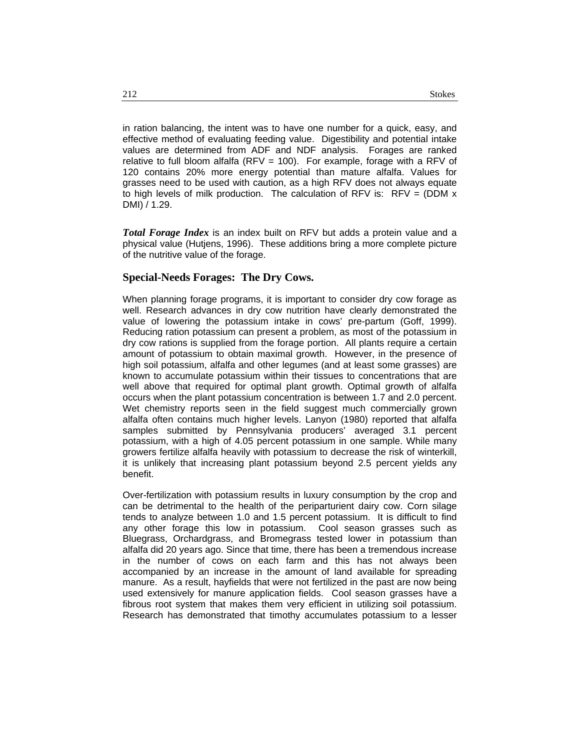in ration balancing, the intent was to have one number for a quick, easy, and effective method of evaluating feeding value. Digestibility and potential intake values are determined from ADF and NDF analysis. Forages are ranked relative to full bloom alfalfa (RFV = 100). For example, forage with a RFV of 120 contains 20% more energy potential than mature alfalfa. Values for grasses need to be used with caution, as a high RFV does not always equate to high levels of milk production. The calculation of RFV is:  $RFV = (DDM x$ DMI) / 1.29.

*Total Forage Index* is an index built on RFV but adds a protein value and a physical value (Hutjens, 1996). These additions bring a more complete picture of the nutritive value of the forage.

### **Special-Needs Forages: The Dry Cows.**

When planning forage programs, it is important to consider dry cow forage as well. Research advances in dry cow nutrition have clearly demonstrated the value of lowering the potassium intake in cows' pre-partum (Goff, 1999). Reducing ration potassium can present a problem, as most of the potassium in dry cow rations is supplied from the forage portion. All plants require a certain amount of potassium to obtain maximal growth. However, in the presence of high soil potassium, alfalfa and other legumes (and at least some grasses) are known to accumulate potassium within their tissues to concentrations that are well above that required for optimal plant growth. Optimal growth of alfalfa occurs when the plant potassium concentration is between 1.7 and 2.0 percent. Wet chemistry reports seen in the field suggest much commercially grown alfalfa often contains much higher levels. Lanyon (1980) reported that alfalfa samples submitted by Pennsylvania producers' averaged 3.1 percent potassium, with a high of 4.05 percent potassium in one sample. While many growers fertilize alfalfa heavily with potassium to decrease the risk of winterkill, it is unlikely that increasing plant potassium beyond 2.5 percent yields any benefit.

Over-fertilization with potassium results in luxury consumption by the crop and can be detrimental to the health of the periparturient dairy cow. Corn silage tends to analyze between 1.0 and 1.5 percent potassium. It is difficult to find any other forage this low in potassium. Cool season grasses such as Bluegrass, Orchardgrass, and Bromegrass tested lower in potassium than alfalfa did 20 years ago. Since that time, there has been a tremendous increase in the number of cows on each farm and this has not always been accompanied by an increase in the amount of land available for spreading manure. As a result, hayfields that were not fertilized in the past are now being used extensively for manure application fields. Cool season grasses have a fibrous root system that makes them very efficient in utilizing soil potassium. Research has demonstrated that timothy accumulates potassium to a lesser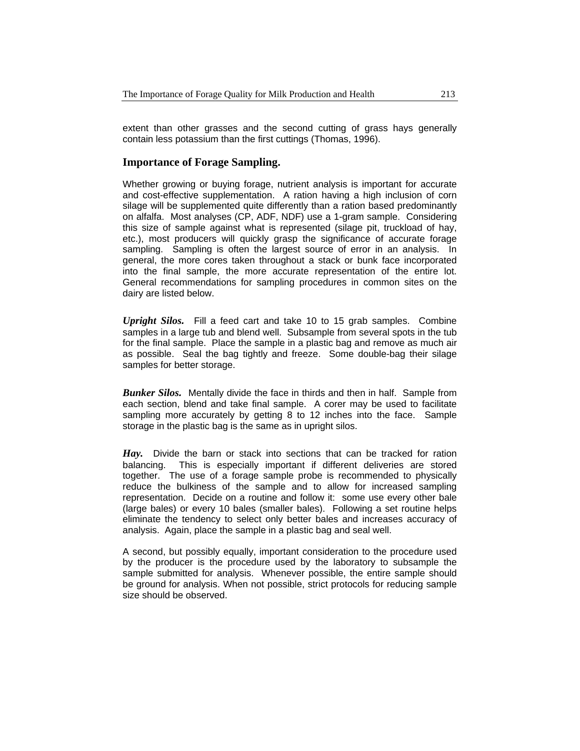extent than other grasses and the second cutting of grass hays generally contain less potassium than the first cuttings (Thomas, 1996).

### **Importance of Forage Sampling.**

Whether growing or buying forage, nutrient analysis is important for accurate and cost-effective supplementation. A ration having a high inclusion of corn silage will be supplemented quite differently than a ration based predominantly on alfalfa. Most analyses (CP, ADF, NDF) use a 1-gram sample. Considering this size of sample against what is represented (silage pit, truckload of hay, etc.), most producers will quickly grasp the significance of accurate forage sampling. Sampling is often the largest source of error in an analysis. In general, the more cores taken throughout a stack or bunk face incorporated into the final sample, the more accurate representation of the entire lot. General recommendations for sampling procedures in common sites on the dairy are listed below.

*Upright Silos.* Fill a feed cart and take 10 to 15 grab samples. Combine samples in a large tub and blend well. Subsample from several spots in the tub for the final sample. Place the sample in a plastic bag and remove as much air as possible. Seal the bag tightly and freeze. Some double-bag their silage samples for better storage.

*Bunker Silos.* Mentally divide the face in thirds and then in half. Sample from each section, blend and take final sample. A corer may be used to facilitate sampling more accurately by getting 8 to 12 inches into the face. Sample storage in the plastic bag is the same as in upright silos.

*Hay.*Divide the barn or stack into sections that can be tracked for ration balancing. This is especially important if different deliveries are stored together. The use of a forage sample probe is recommended to physically reduce the bulkiness of the sample and to allow for increased sampling representation. Decide on a routine and follow it: some use every other bale (large bales) or every 10 bales (smaller bales). Following a set routine helps eliminate the tendency to select only better bales and increases accuracy of analysis. Again, place the sample in a plastic bag and seal well.

A second, but possibly equally, important consideration to the procedure used by the producer is the procedure used by the laboratory to subsample the sample submitted for analysis. Whenever possible, the entire sample should be ground for analysis. When not possible, strict protocols for reducing sample size should be observed.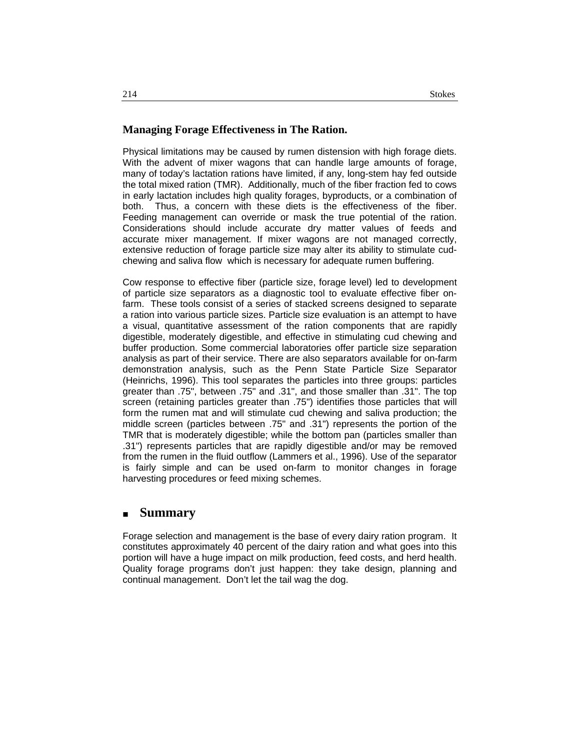### **Managing Forage Effectiveness in The Ration.**

Physical limitations may be caused by rumen distension with high forage diets. With the advent of mixer wagons that can handle large amounts of forage, many of today's lactation rations have limited, if any, long-stem hay fed outside the total mixed ration (TMR). Additionally, much of the fiber fraction fed to cows in early lactation includes high quality forages, byproducts, or a combination of both. Thus, a concern with these diets is the effectiveness of the fiber. Feeding management can override or mask the true potential of the ration. Considerations should include accurate dry matter values of feeds and accurate mixer management. If mixer wagons are not managed correctly, extensive reduction of forage particle size may alter its ability to stimulate cudchewing and saliva flow which is necessary for adequate rumen buffering.

Cow response to effective fiber (particle size, forage level) led to development of particle size separators as a diagnostic tool to evaluate effective fiber onfarm. These tools consist of a series of stacked screens designed to separate a ration into various particle sizes. Particle size evaluation is an attempt to have a visual, quantitative assessment of the ration components that are rapidly digestible, moderately digestible, and effective in stimulating cud chewing and buffer production. Some commercial laboratories offer particle size separation analysis as part of their service. There are also separators available for on-farm demonstration analysis, such as the Penn State Particle Size Separator (Heinrichs, 1996). This tool separates the particles into three groups: particles greater than .75", between .75" and .31", and those smaller than .31". The top screen (retaining particles greater than .75") identifies those particles that will form the rumen mat and will stimulate cud chewing and saliva production; the middle screen (particles between .75" and .31") represents the portion of the TMR that is moderately digestible; while the bottom pan (particles smaller than .31") represents particles that are rapidly digestible and/or may be removed from the rumen in the fluid outflow (Lammers et al., 1996). Use of the separator is fairly simple and can be used on-farm to monitor changes in forage harvesting procedures or feed mixing schemes.

## **Summary**

Forage selection and management is the base of every dairy ration program. It constitutes approximately 40 percent of the dairy ration and what goes into this portion will have a huge impact on milk production, feed costs, and herd health. Quality forage programs don't just happen: they take design, planning and continual management. Don't let the tail wag the dog.